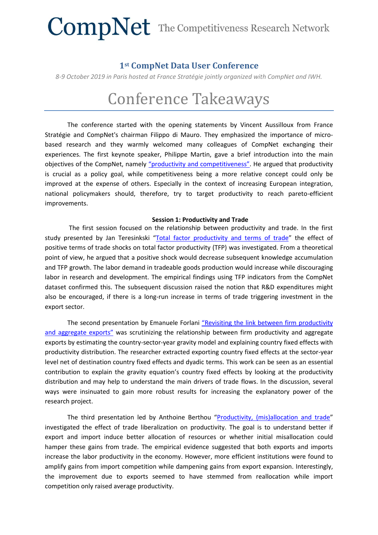#### **1st CompNet Data User Conference**

*8-9 October 2019 in Paris hosted at France Stratégie jointly organized with CompNet and IWH.*

### Conference Takeaways

The conference started with the opening statements by Vincent Aussilloux from France Stratégie and CompNet's chairman Filippo di Mauro. They emphasized the importance of microbased research and they warmly welcomed many colleagues of CompNet exchanging their experiences. The first keynote speaker, Philippe Martin, gave a brief introduction into the main objectives of the CompNet, namely "[productivity and competitiveness](https://www.comp-net.org/fileadmin/_compnet/user_upload/Documents/Data_User_Conference/presentations/Philippe_Martin.pdf)". He argued that productivity is crucial as a policy goal, while competitiveness being a more relative concept could only be improved at the expense of others. Especially in the context of increasing European integration, national policymakers should, therefore, try to target productivity to reach pareto-efficient improvements.

#### **Session 1: Productivity and Trade**

The first session focused on the relationship between productivity and trade. In the first study presented by Jan Teresinkski "[Total factor productivity and terms of trade](https://www.comp-net.org/fileadmin/_compnet/user_upload/Documents/Data_User_Conference/presentations/Jan_Teresinski_-_Teresinski_presentation.pdf)" the effect of positive terms of trade shocks on total factor productivity (TFP) was investigated. From a theoretical point of view, he argued that a positive shock would decrease subsequent knowledge accumulation and TFP growth. The labor demand in tradeable goods production would increase while discouraging labor in research and development. The empirical findings using TFP indicators from the CompNet dataset confirmed this. The subsequent discussion raised the notion that R&D expenditures might also be encouraged, if there is a long-run increase in terms of trade triggering investment in the export sector.

The second presentation by Emanuele Forlani ["Revisiting the link between firm](https://www.comp-net.org/fileadmin/_compnet/user_upload/Documents/Data_User_Conference/presentations/Forlani-Ottaviano-Revisiting_The_Link_Between_Firm_Productivity_and_Aggregate_Exports.pdf) productivity [and aggregate exports"](https://www.comp-net.org/fileadmin/_compnet/user_upload/Documents/Data_User_Conference/presentations/Forlani-Ottaviano-Revisiting_The_Link_Between_Firm_Productivity_and_Aggregate_Exports.pdf) was scrutinizing the relationship between firm productivity and aggregate exports by estimating the country-sector-year gravity model and explaining country fixed effects with productivity distribution. The researcher extracted exporting country fixed effects at the sector-year level net of destination country fixed effects and dyadic terms. This work can be seen as an essential contribution to explain the gravity equation's country fixed effects by looking at the productivity distribution and may help to understand the main drivers of trade flows. In the discussion, several ways were insinuated to gain more robust results for increasing the explanatory power of the research project.

The third presentation led by Anthoine Berthou "[Productivity, \(mis\)allocation and trade](https://www.comp-net.org/fileadmin/_compnet/user_upload/Documents/Data_User_Conference/presentations/Berthou_-_presentation.pdf)" investigated the effect of trade liberalization on productivity. The goal is to understand better if export and import induce better allocation of resources or whether initial misallocation could hamper these gains from trade. The empirical evidence suggested that both exports and imports increase the labor productivity in the economy. However, more efficient institutions were found to amplify gains from import competition while dampening gains from export expansion. Interestingly, the improvement due to exports seemed to have stemmed from reallocation while import competition only raised average productivity.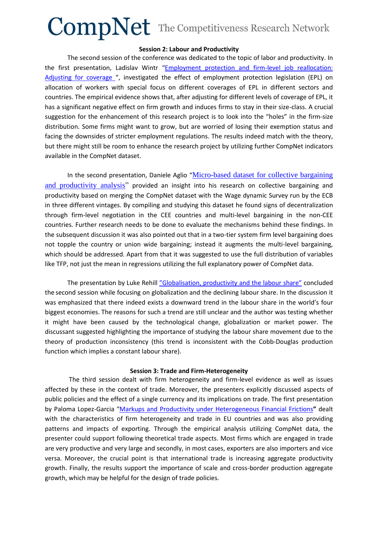#### **Session 2: Labour and Productivity**

The second session of the conference was dedicated to the topic of labor and productivity. In the first presentation, Ladislav Wintr "[Employment protection and firm-level job reallocation:](https://www.comp-net.org/fileadmin/_compnet/user_upload/Documents/Data_User_Conference/presentations/Ladislav_Wintr_-_Marzinotto_Wintr_CompNet_v2.pptx)  [Adjusting for coverage](https://www.comp-net.org/fileadmin/_compnet/user_upload/Documents/Data_User_Conference/presentations/Ladislav_Wintr_-_Marzinotto_Wintr_CompNet_v2.pptx) ", investigated the effect of employment protection legislation (EPL) on allocation of workers with special focus on different coverages of EPL in different sectors and countries. The empirical evidence shows that, after adjusting for different levels of coverage of EPL, it has a significant negative effect on firm growth and induces firms to stay in their size-class. A crucial suggestion for the enhancement of this research project is to look into the "holes" in the firm-size distribution. Some firms might want to grow, but are worried of losing their exemption status and facing the downsides of stricter employment regulations. The results indeed match with the theory, but there might still be room to enhance the research project by utilizing further CompNet indicators available in the CompNet dataset.

In the second presentation, Daniele Aglio "[Micro-based dataset for collective bargaining](https://www.comp-net.org/fileadmin/_compnet/user_upload/Documents/Data_User_Conference/presentations/Daniele_Aglio_-_Presentation.pdf)  [and productivity analysis"](https://www.comp-net.org/fileadmin/_compnet/user_upload/Documents/Data_User_Conference/presentations/Daniele_Aglio_-_Presentation.pdf) provided an insight into his research on collective bargaining and productivity based on merging the CompNet dataset with the Wage dynamic Survey run by the ECB in three different vintages. By compiling and studying this dataset he found signs of decentralization through firm-level negotiation in the CEE countries and multi-level bargaining in the non-CEE countries. Further research needs to be done to evaluate the mechanisms behind these findings. In the subsequent discussion it was also pointed out that in a two-tier system firm level bargaining does not topple the country or union wide bargaining; instead it augments the multi-level bargaining, which should be addressed. Apart from that it was suggested to use the full distribution of variables like TFP, not just the mean in regressions utilizing the full explanatory power of CompNet data.

The presentation by Luke Rehill ["Globalisation, productivity and the labour share"](https://www.comp-net.org/fileadmin/_compnet/user_upload/Documents/Data_User_Conference/presentations/Luke_Rehill_-_20191004_CompNet_data_user_conference.pptx) concluded the second session while focusing on globalization and the declining labour share. In the discussion it was emphasized that there indeed exists a downward trend in the labour share in the world's four biggest economies. The reasons for such a trend are still unclear and the author was testing whether it might have been caused by the technological change, globalization or market power. The discussant suggested highlighting the importance of studying the labour share movement due to the theory of production inconsistency (this trend is inconsistent with the Cobb-Douglas production function which implies a constant labour share).

#### **Session 3: Trade and Firm-Heterogeneity**

The third session dealt with firm heterogeneity and firm-level evidence as well as issues affected by these in the context of trade. Moreover, the presenters explicitly discussed aspects of public policies and the effect of a single currency and its implications on trade. The first presentation by Paloma Lopez-Garcia "[Markups and Productivity under Heterogeneous Financial Frictions](https://www.comp-net.org/fileadmin/_compnet/user_upload/Documents/Data_User_Conference/presentations/First_compnet_user_conference_-_Paloma_LopezGarcia.ppt)**"** dealt with the characteristics of firm heterogeneity and trade in EU countries and was also providing patterns and impacts of exporting. Through the empirical analysis utilizing CompNet data, the presenter could support following theoretical trade aspects. Most firms which are engaged in trade are very productive and very large and secondly, in most cases, exporters are also importers and vice versa. Moreover, the crucial point is that international trade is increasing aggregate productivity growth. Finally, the results support the importance of scale and cross-border production aggregate growth, which may be helpful for the design of trade policies.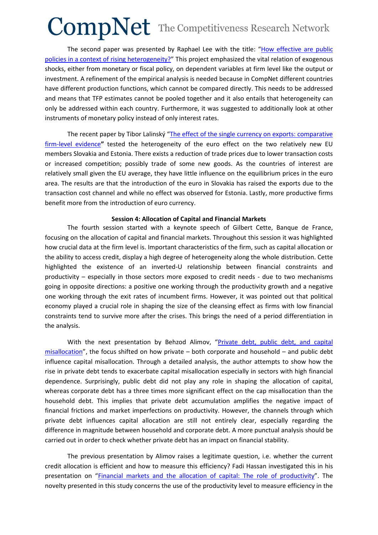The second paper was presented by Raphael Lee with the title: "[How effective are public](https://www.comp-net.org/fileadmin/_compnet/user_upload/Documents/Data_User_Conference/presentations/raphael_lee___CompNet__Heterogeneity_and_policy_effectiveness__2_.pdf)  [policies in a context of rising heterogeneity?](https://www.comp-net.org/fileadmin/_compnet/user_upload/Documents/Data_User_Conference/presentations/raphael_lee___CompNet__Heterogeneity_and_policy_effectiveness__2_.pdf)" This project emphasized the vital relation of exogenous shocks, either from monetary or fiscal policy, on dependent variables at firm level like the output or investment. A refinement of the empirical analysis is needed because in CompNet different countries have different production functions, which cannot be compared directly. This needs to be addressed and means that TFP estimates cannot be pooled together and it also entails that heterogeneity can only be addressed within each country. Furthermore, it was suggested to additionally look at other instruments of monetary policy instead of only interest rates.

The recent paper by Tibor Lalinský "The effect of the single currency on exports: comparative [firm-level evidence](https://www.comp-net.org/fileadmin/_compnet/user_upload/Documents/Data_User_Conference/presentations/Tibor_Lalinsky_-_Lalinsky_Euro_effect_CompNet_Conf_8Oct2019.pdf)**"** tested the heterogeneity of the euro effect on the two relatively new EU members Slovakia and Estonia. There exists a reduction of trade prices due to lower transaction costs or increased competition; possibly trade of some new goods. As the countries of interest are relatively small given the EU average, they have little influence on the equilibrium prices in the euro area. The results are that the introduction of the euro in Slovakia has raised the exports due to the transaction cost channel and while no effect was observed for Estonia. Lastly, more productive firms benefit more from the introduction of euro currency.

#### **Session 4: Allocation of Capital and Financial Markets**

The fourth session started with a keynote speech of Gilbert Cette, Banque de France, focusing on the allocation of capital and financial markets. Throughout this session it was highlighted how crucial data at the firm level is. Important characteristics of the firm, such as capital allocation or the ability to access credit, display a high degree of heterogeneity along the whole distribution. Cette highlighted the existence of an inverted-U relationship between financial constraints and productivity – especially in those sectors more exposed to credit needs - due to two mechanisms going in opposite directions: a positive one working through the productivity growth and a negative one working through the exit rates of incumbent firms. However, it was pointed out that political economy played a crucial role in shaping the size of the cleansing effect as firms with low financial constraints tend to survive more after the crises. This brings the need of a period differentiation in the analysis.

With the next presentation by Behzod Alimov, "Private debt, public debt, and capital [misallocation](https://www.comp-net.org/fileadmin/_compnet/user_upload/Documents/Data_User_Conference/presentations/Behzod_Alimov_-_Debt_and_capital_misallocation_Alimov.pdf)", the focus shifted on how private – both corporate and household – and public debt influence capital misallocation. Through a detailed analysis, the author attempts to show how the rise in private debt tends to exacerbate capital misallocation especially in sectors with high financial dependence. Surprisingly, public debt did not play any role in shaping the allocation of capital, whereas corporate debt has a three times more significant effect on the cap misallocation than the household debt. This implies that private debt accumulation amplifies the negative impact of financial frictions and market imperfections on productivity. However, the channels through which private debt influences capital allocation are still not entirely clear, especially regarding the difference in magnitude between household and corporate debt. A more punctual analysis should be carried out in order to check whether private debt has an impact on financial stability.

The previous presentation by Alimov raises a legitimate question, i.e. whether the current credit allocation is efficient and how to measure this efficiency? Fadi Hassan investigated this in his presentation on "[Financial markets and the allocation of capital: The role of productivity](https://www.comp-net.org/fileadmin/_compnet/user_upload/Documents/Data_User_Conference/presentations/Fadi_Hassan.pdf)". The novelty presented in this study concerns the use of the productivity level to measure efficiency in the